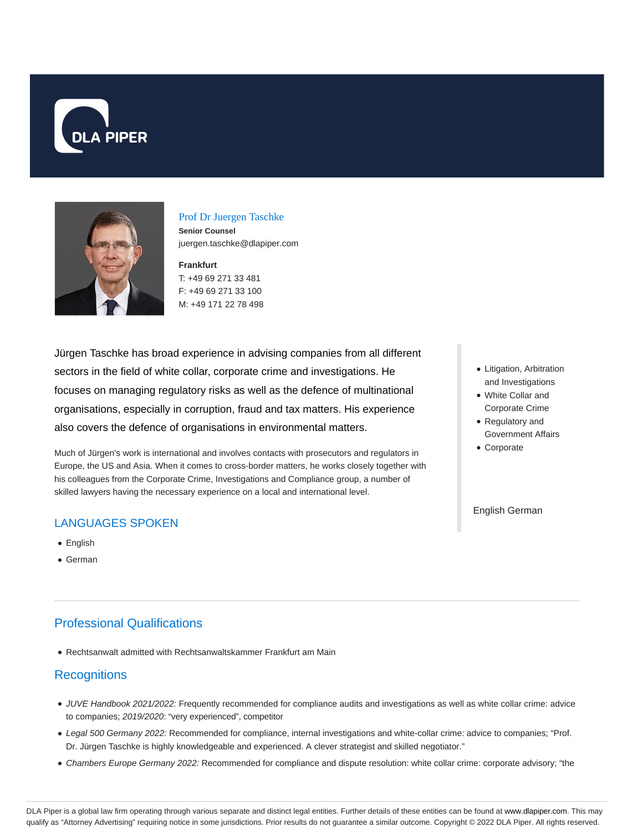



#### Prof Dr Juergen Taschke

**Senior Counsel** juergen.taschke@dlapiper.com

# **Frankfurt**

T: +49 69 271 33 481 F: +49 69 271 33 100 M: +49 171 22 78 498

Jürgen Taschke has broad experience in advising companies from all different sectors in the field of white collar, corporate crime and investigations. He focuses on managing regulatory risks as well as the defence of multinational organisations, especially in corruption, fraud and tax matters. His experience also covers the defence of organisations in environmental matters.

Much of Jürgen's work is international and involves contacts with prosecutors and regulators in Europe, the US and Asia. When it comes to cross-border matters, he works closely together with his colleagues from the Corporate Crime, Investigations and Compliance group, a number of skilled lawyers having the necessary experience on a local and international level.

## LANGUAGES SPOKEN

- English
- German

# Professional Qualifications

Rechtsanwalt admitted with Rechtsanwaltskammer Frankfurt am Main

## **Recognitions**

- JUVE Handbook 2021/2022: Frequently recommended for compliance audits and investigations as well as white collar crime: advice to companies; 2019/2020: "very experienced", competitor
- Legal 500 Germany 2022: Recommended for compliance, internal investigations and white-collar crime: advice to companies; "Prof. Dr. Jürgen Taschke is highly knowledgeable and experienced. A clever strategist and skilled negotiator."
- Chambers Europe Germany 2022: Recommended for compliance and dispute resolution: white collar crime: corporate advisory; "the
- Litigation, Arbitration and Investigations
- White Collar and Corporate Crime
- Regulatory and Government Affairs
- Corporate

#### English German

DLA Piper is a global law firm operating through various separate and distinct legal entities. Further details of these entities can be found at www.dlapiper.com. This may qualify as "Attorney Advertising" requiring notice in some jurisdictions. Prior results do not guarantee a similar outcome. Copyright © 2022 DLA Piper. All rights reserved.